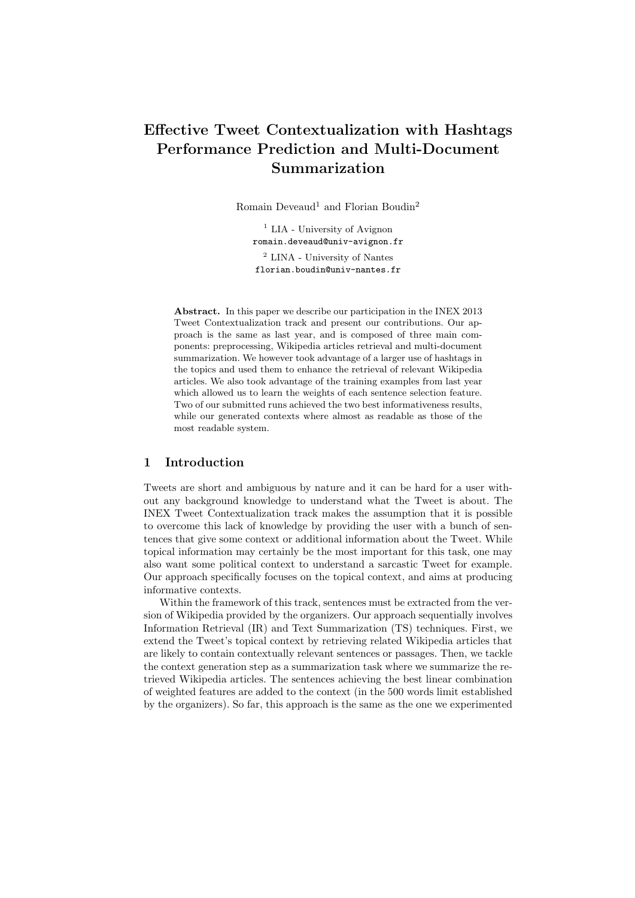# Effective Tweet Contextualization with Hashtags Performance Prediction and Multi-Document Summarization

Romain Deveaud<sup>1</sup> and Florian Boudin<sup>2</sup>

<sup>1</sup> LIA - University of Avignon romain.deveaud@univ-avignon.fr <sup>2</sup> LINA - University of Nantes florian.boudin@univ-nantes.fr

Abstract. In this paper we describe our participation in the INEX 2013 Tweet Contextualization track and present our contributions. Our approach is the same as last year, and is composed of three main components: preprocessing, Wikipedia articles retrieval and multi-document summarization. We however took advantage of a larger use of hashtags in the topics and used them to enhance the retrieval of relevant Wikipedia articles. We also took advantage of the training examples from last year which allowed us to learn the weights of each sentence selection feature. Two of our submitted runs achieved the two best informativeness results, while our generated contexts where almost as readable as those of the most readable system.

# 1 Introduction

Tweets are short and ambiguous by nature and it can be hard for a user without any background knowledge to understand what the Tweet is about. The INEX Tweet Contextualization track makes the assumption that it is possible to overcome this lack of knowledge by providing the user with a bunch of sentences that give some context or additional information about the Tweet. While topical information may certainly be the most important for this task, one may also want some political context to understand a sarcastic Tweet for example. Our approach specifically focuses on the topical context, and aims at producing informative contexts.

Within the framework of this track, sentences must be extracted from the version of Wikipedia provided by the organizers. Our approach sequentially involves Information Retrieval (IR) and Text Summarization (TS) techniques. First, we extend the Tweet's topical context by retrieving related Wikipedia articles that are likely to contain contextually relevant sentences or passages. Then, we tackle the context generation step as a summarization task where we summarize the retrieved Wikipedia articles. The sentences achieving the best linear combination of weighted features are added to the context (in the 500 words limit established by the organizers). So far, this approach is the same as the one we experimented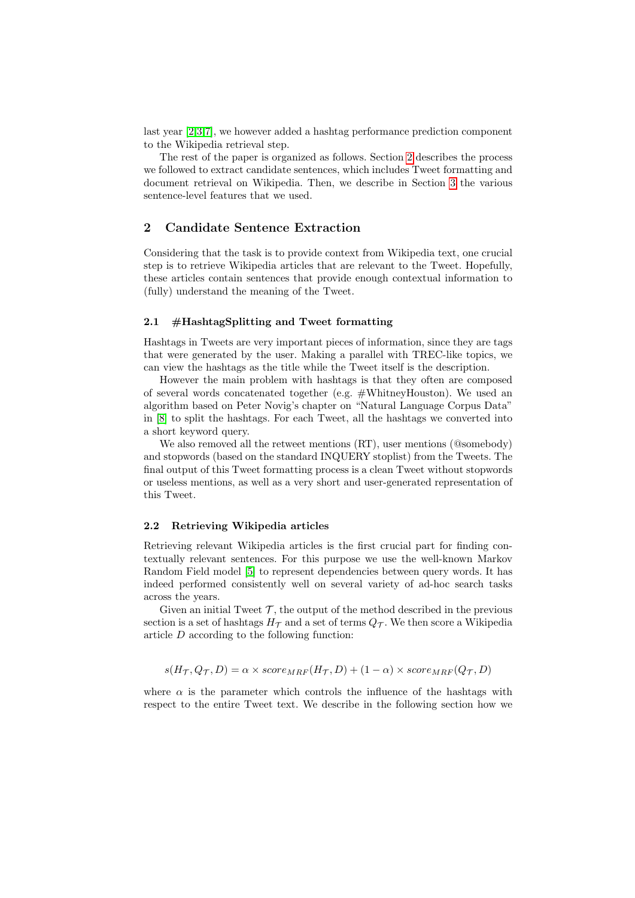last year [\[2,](#page-6-0)[3,](#page-6-1)[7\]](#page-6-2), we however added a hashtag performance prediction component to the Wikipedia retrieval step.

The rest of the paper is organized as follows. Section [2](#page-1-0) describes the process we followed to extract candidate sentences, which includes Tweet formatting and document retrieval on Wikipedia. Then, we describe in Section [3](#page-2-0) the various sentence-level features that we used.

## <span id="page-1-0"></span>2 Candidate Sentence Extraction

Considering that the task is to provide context from Wikipedia text, one crucial step is to retrieve Wikipedia articles that are relevant to the Tweet. Hopefully, these articles contain sentences that provide enough contextual information to (fully) understand the meaning of the Tweet.

#### 2.1 #HashtagSplitting and Tweet formatting

Hashtags in Tweets are very important pieces of information, since they are tags that were generated by the user. Making a parallel with TREC-like topics, we can view the hashtags as the title while the Tweet itself is the description.

However the main problem with hashtags is that they often are composed of several words concatenated together (e.g. #WhitneyHouston). We used an algorithm based on Peter Novig's chapter on "Natural Language Corpus Data" in [\[8\]](#page-6-3) to split the hashtags. For each Tweet, all the hashtags we converted into a short keyword query.

We also removed all the retweet mentions (RT), user mentions (@somebody) and stopwords (based on the standard INQUERY stoplist) from the Tweets. The final output of this Tweet formatting process is a clean Tweet without stopwords or useless mentions, as well as a very short and user-generated representation of this Tweet.

#### 2.2 Retrieving Wikipedia articles

Retrieving relevant Wikipedia articles is the first crucial part for finding contextually relevant sentences. For this purpose we use the well-known Markov Random Field model [\[5\]](#page-6-4) to represent dependencies between query words. It has indeed performed consistently well on several variety of ad-hoc search tasks across the years.

Given an initial Tweet  $\mathcal{T}$ , the output of the method described in the previous section is a set of hashtags  $H_{\mathcal{T}}$  and a set of terms  $Q_{\mathcal{T}}$ . We then score a Wikipedia article D according to the following function:

$$
s(H_{\mathcal{T}}, Q_{\mathcal{T}}, D) = \alpha \times score_{MRF}(H_{\mathcal{T}}, D) + (1 - \alpha) \times score_{MRF}(Q_{\mathcal{T}}, D)
$$

where  $\alpha$  is the parameter which controls the influence of the hashtags with respect to the entire Tweet text. We describe in the following section how we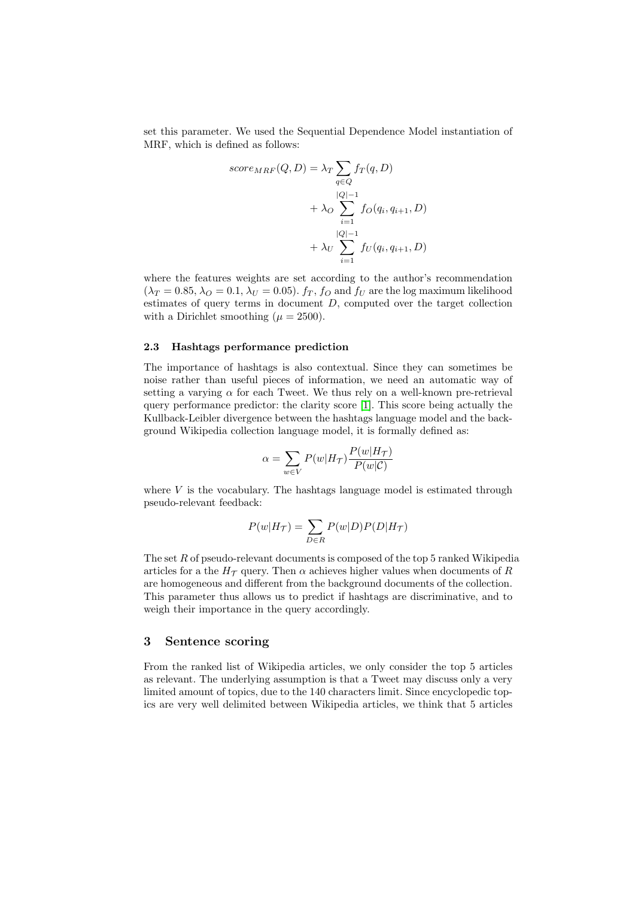set this parameter. We used the Sequential Dependence Model instantiation of MRF, which is defined as follows:

$$
score_{MRF}(Q, D) = \lambda_T \sum_{q \in Q} f_T(q, D)
$$

$$
+ \lambda_O \sum_{i=1}^{|Q|-1} f_O(q_i, q_{i+1}, D)
$$

$$
+ \lambda_U \sum_{i=1}^{|Q|-1} f_U(q_i, q_{i+1}, D)
$$

where the features weights are set according to the author's recommendation  $(\lambda_T = 0.85, \lambda_O = 0.1, \lambda_U = 0.05)$ .  $f_T$ ,  $f_O$  and  $f_U$  are the log maximum likelihood estimates of query terms in document  $D$ , computed over the target collection with a Dirichlet smoothing  $(\mu = 2500)$ .

#### 2.3 Hashtags performance prediction

The importance of hashtags is also contextual. Since they can sometimes be noise rather than useful pieces of information, we need an automatic way of setting a varying  $\alpha$  for each Tweet. We thus rely on a well-known pre-retrieval query performance predictor: the clarity score [\[1\]](#page-6-5). This score being actually the Kullback-Leibler divergence between the hashtags language model and the background Wikipedia collection language model, it is formally defined as:

$$
\alpha = \sum_{w \in V} P(w|H_{\mathcal{T}}) \frac{P(w|H_{\mathcal{T}})}{P(w|\mathcal{C})}
$$

where  $V$  is the vocabulary. The hashtags language model is estimated through pseudo-relevant feedback:

$$
P(w|H_{\mathcal{T}}) = \sum_{D \in R} P(w|D)P(D|H_{\mathcal{T}})
$$

The set R of pseudo-relevant documents is composed of the top 5 ranked Wikipedia articles for a the  $H<sub>T</sub>$  query. Then  $\alpha$  achieves higher values when documents of R are homogeneous and different from the background documents of the collection. This parameter thus allows us to predict if hashtags are discriminative, and to weigh their importance in the query accordingly.

## <span id="page-2-0"></span>3 Sentence scoring

From the ranked list of Wikipedia articles, we only consider the top 5 articles as relevant. The underlying assumption is that a Tweet may discuss only a very limited amount of topics, due to the 140 characters limit. Since encyclopedic topics are very well delimited between Wikipedia articles, we think that 5 articles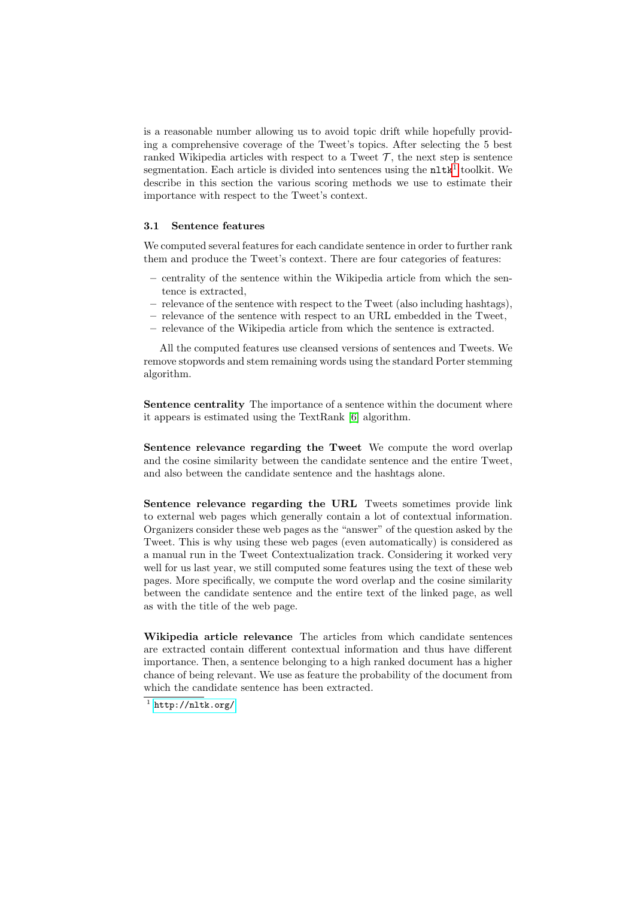is a reasonable number allowing us to avoid topic drift while hopefully providing a comprehensive coverage of the Tweet's topics. After selecting the 5 best ranked Wikipedia articles with respect to a Tweet  $\mathcal{T}$ , the next step is sentence segmentation. Each article is divided into sentences using the  $n$ lt $k<sup>1</sup>$  $k<sup>1</sup>$  $k<sup>1</sup>$  toolkit. We describe in this section the various scoring methods we use to estimate their importance with respect to the Tweet's context.

#### 3.1 Sentence features

We computed several features for each candidate sentence in order to further rank them and produce the Tweet's context. There are four categories of features:

- centrality of the sentence within the Wikipedia article from which the sentence is extracted,
- relevance of the sentence with respect to the Tweet (also including hashtags),
- relevance of the sentence with respect to an URL embedded in the Tweet,
- relevance of the Wikipedia article from which the sentence is extracted.

All the computed features use cleansed versions of sentences and Tweets. We remove stopwords and stem remaining words using the standard Porter stemming algorithm.

Sentence centrality The importance of a sentence within the document where it appears is estimated using the TextRank [\[6\]](#page-6-6) algorithm.

Sentence relevance regarding the Tweet We compute the word overlap and the cosine similarity between the candidate sentence and the entire Tweet, and also between the candidate sentence and the hashtags alone.

Sentence relevance regarding the URL Tweets sometimes provide link to external web pages which generally contain a lot of contextual information. Organizers consider these web pages as the "answer" of the question asked by the Tweet. This is why using these web pages (even automatically) is considered as a manual run in the Tweet Contextualization track. Considering it worked very well for us last year, we still computed some features using the text of these web pages. More specifically, we compute the word overlap and the cosine similarity between the candidate sentence and the entire text of the linked page, as well as with the title of the web page.

Wikipedia article relevance The articles from which candidate sentences are extracted contain different contextual information and thus have different importance. Then, a sentence belonging to a high ranked document has a higher chance of being relevant. We use as feature the probability of the document from which the candidate sentence has been extracted.

<span id="page-3-0"></span> $^1$  <http://nltk.org/>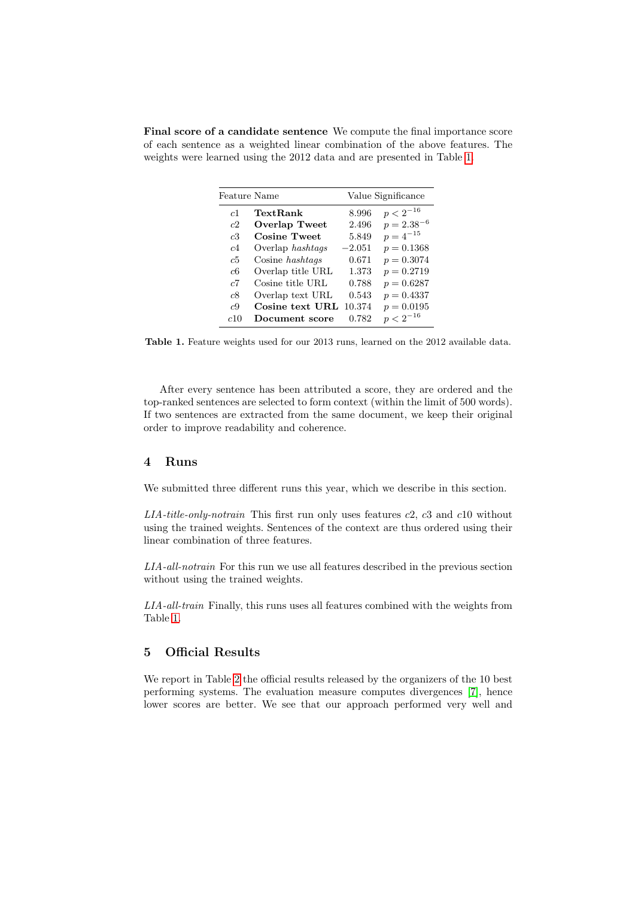Final score of a candidate sentence We compute the final importance score of each sentence as a weighted linear combination of the above features. The weights were learned using the 2012 data and are presented in Table [1.](#page-4-0)

| Feature Name   |                      | Value Significance |                 |  |
|----------------|----------------------|--------------------|-----------------|--|
| c <sub>1</sub> | TextRank             | 8.996              | $p < 2^{-16}$   |  |
| c2             | <b>Overlap Tweet</b> | 2.496              | $p = 2.38^{-6}$ |  |
| c3             | <b>Cosine Tweet</b>  | 5.849              | $p = 4^{-15}$   |  |
| c4             | Overlap hashtags     | $-2.051$           | $p = 0.1368$    |  |
| c5             | Cosine hashtags      | 0.671              | $p = 0.3074$    |  |
| с6             | Overlap title URL    | 1.373              | $p = 0.2719$    |  |
| c7             | Cosine title URL     | 0.788              | $p = 0.6287$    |  |
| c8             | Overlap text URL     | 0.543              | $p = 0.4337$    |  |
| c9             | Cosine text URL      | 10.374             | $p = 0.0195$    |  |
| c10            | Document score       | 0.782              | $p < 2^{-16}$   |  |

<span id="page-4-0"></span>Table 1. Feature weights used for our 2013 runs, learned on the 2012 available data.

After every sentence has been attributed a score, they are ordered and the top-ranked sentences are selected to form context (within the limit of 500 words). If two sentences are extracted from the same document, we keep their original order to improve readability and coherence.

# 4 Runs

We submitted three different runs this year, which we describe in this section.

 $LIA$ -title-only-notrain This first run only uses features  $c2$ ,  $c3$  and  $c10$  without using the trained weights. Sentences of the context are thus ordered using their linear combination of three features.

LIA-all-notrain For this run we use all features described in the previous section without using the trained weights.

LIA-all-train Finally, this runs uses all features combined with the weights from Table [1.](#page-4-0)

# 5 Official Results

We report in Table [2](#page-5-0) the official results released by the organizers of the 10 best performing systems. The evaluation measure computes divergences [\[7\]](#page-6-2), hence lower scores are better. We see that our approach performed very well and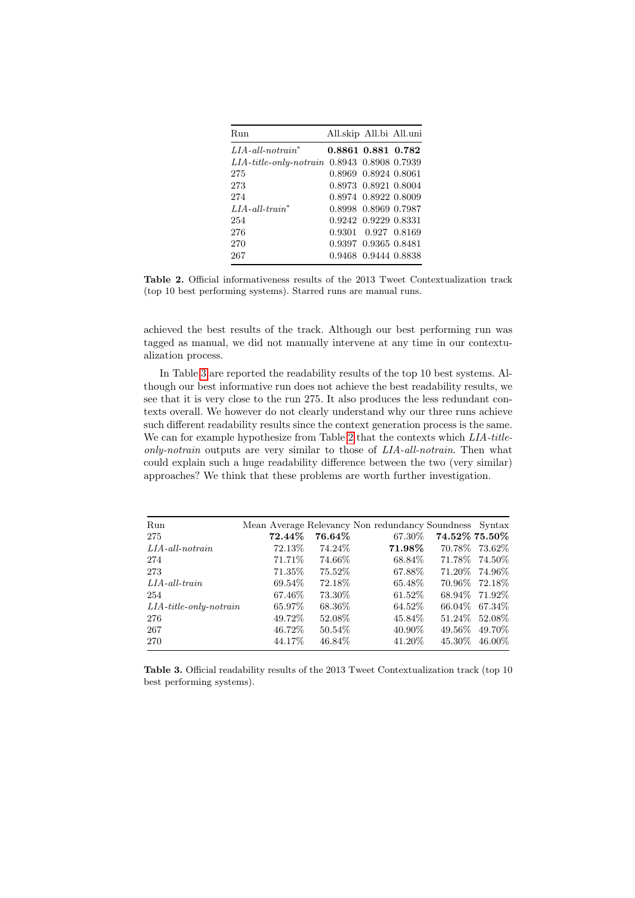| Run                             | All.skip All.bi All.uni |  |
|---------------------------------|-------------------------|--|
| $LIA$ -all-notrain <sup>*</sup> | 0.8861 0.881 0.782      |  |
| $LIA$ -title-only-notrain       | 0.8943 0.8908 0.7939    |  |
| 275                             | 0.8969 0.8924 0.8061    |  |
| 273                             | 0.8973 0.8921 0.8004    |  |
| 274                             | 0.8974 0.8922 0.8009    |  |
| $LIA$ -all-train*               | 0.8998 0.8969 0.7987    |  |
| 254                             | 0.9242 0.9229 0.8331    |  |
| 276                             | 0.9301 0.927 0.8169     |  |
| 270                             | 0.9397 0.9365 0.8481    |  |
| 267                             | 0.9468 0.9444 0.8838    |  |

<span id="page-5-0"></span>Table 2. Official informativeness results of the 2013 Tweet Contextualization track (top 10 best performing systems). Starred runs are manual runs.

achieved the best results of the track. Although our best performing run was tagged as manual, we did not manually intervene at any time in our contextualization process.

In Table [3](#page-5-1) are reported the readability results of the top 10 best systems. Although our best informative run does not achieve the best readability results, we see that it is very close to the run 275. It also produces the less redundant contexts overall. We however do not clearly understand why our three runs achieve such different readability results since the context generation process is the same. We can for example hypothesize from Table [2](#page-5-0) that the contexts which  $LIA$ -titleonly-notrain outputs are very similar to those of LIA-all-notrain. Then what could explain such a huge readability difference between the two (very similar) approaches? We think that these problems are worth further investigation.

| Run                       |         |         | Mean Average Relevancy Non redundancy Soundness Syntax |               |                 |
|---------------------------|---------|---------|--------------------------------------------------------|---------------|-----------------|
| 275                       | 72.44%  | 76.64%  | 67.30%                                                 | 74.52% 75.50% |                 |
| $LIA$ -all-notrain        | 72.13\% | 74.24\% | $71.98\%$                                              |               | 70.78\%73.62\%  |
| 274                       | 71.71\% | 74.66%  | 68.84\%                                                |               | 71.78\%74.50\%  |
| 273                       | 71.35%  | 75.52%  | 67.88%                                                 |               | 71.20\% 74.96\% |
| $LIA$ -all-train          | 69.54\% | 72.18\% | 65.48\%                                                |               | 70.96\%72.18\%  |
| 254                       | 67.46\% | 73.30\% | 61.52\%                                                |               | 68.94\% 71.92\% |
| $LIA$ -title-only-notrain | 65.97%  | 68.36\% | 64.52\%                                                |               | 66.04\% 67.34\% |
| 276                       | 49.72\% | 52.08%  | 45.84\%                                                | 51.24\%       | 52.08%          |
| 267                       | 46.72\% | 50.54\% | 40.90\%                                                | 49.56%        | 49.70\%         |
| 270                       | 44.17%  | 46.84\% | 41.20\%                                                | 45.30\%       | 46.00%          |

<span id="page-5-1"></span>Table 3. Official readability results of the 2013 Tweet Contextualization track (top 10 best performing systems).